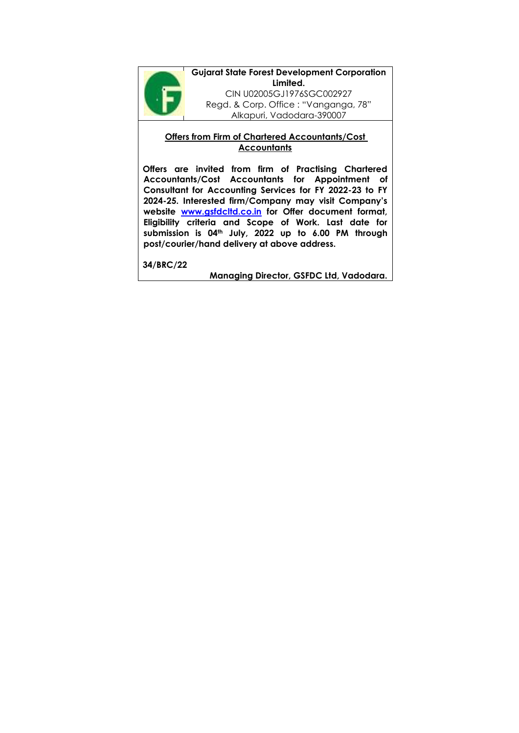

**Gujarat State Forest Development Corporation Limited.** CIN U02005GJ1976SGC002927 Regd. & Corp. Office : "Vanganga, 78" Alkapuri, Vadodara-390007

### **Offers from Firm of Chartered Accountants/Cost Accountants**

**Offers are invited from firm of Practising Chartered Accountants/Cost Accountants for Appointment of Consultant for Accounting Services for FY 2022-23 to FY 2024-25. Interested firm/Company may visit Company's website [www.gsfdcltd.co.in](http://www.gsfdcltd.co.in/) for Offer document format, Eligibility criteria and Scope of Work. Last date for submission is 04th July, 2022 up to 6.00 PM through post/courier/hand delivery at above address.**

**34/BRC/22**

**Managing Director, GSFDC Ltd, Vadodara.**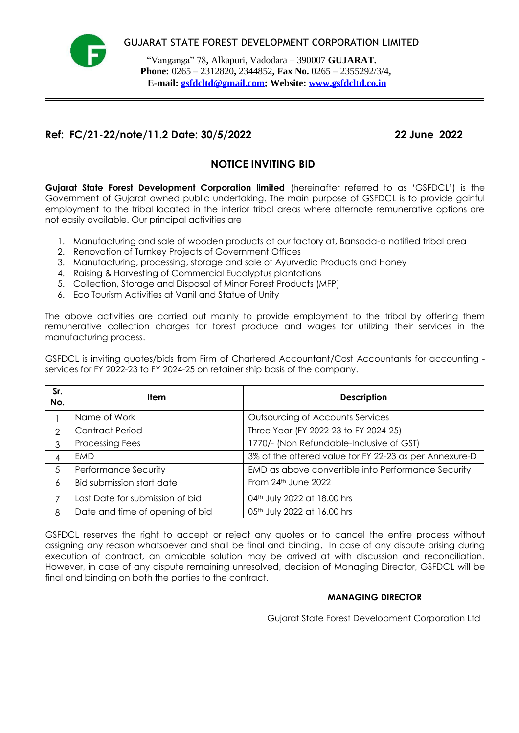

 "Vanganga" 78**,** Alkapuri, Vadodara – 390007 **GUJARAT. Phone:** 0265 **–** 2312820**,** 2344852**, Fax No.** 0265 **–** 2355292/3/4**, E-mail: gsfdcltd@gmail.com; Website: [www.gsfdcltd.co.in](http://www.gsfdcltd.co.in/)**

## **Ref: FC/21-22/note/11.2 Date: 30/5/2022 22 June 2022**

# **NOTICE INVITING BID**

**Gujarat State Forest Development Corporation limited** (hereinafter referred to as "GSFDCL") is the Government of Gujarat owned public undertaking. The main purpose of GSFDCL is to provide gainful employment to the tribal located in the interior tribal areas where alternate remunerative options are not easily available. Our principal activities are

- 1. Manufacturing and sale of wooden products at our factory at, Bansada-a notified tribal area
- 2. Renovation of Turnkey Projects of Government Offices
- 3. Manufacturing, processing, storage and sale of Ayurvedic Products and Honey
- 4. Raising & Harvesting of Commercial Eucalyptus plantations
- 5. Collection, Storage and Disposal of Minor Forest Products (MFP)
- 6. Eco Tourism Activities at Vanil and Statue of Unity

The above activities are carried out mainly to provide employment to the tribal by offering them remunerative collection charges for forest produce and wages for utilizing their services in the manufacturing process.

GSFDCL is inviting quotes/bids from Firm of Chartered Accountant/Cost Accountants for accounting services for FY 2022-23 to FY 2024-25 on retainer ship basis of the company.

| Sr.<br>No. | <b>Item</b>                     | <b>Description</b>                                     |
|------------|---------------------------------|--------------------------------------------------------|
|            | Name of Work                    | Outsourcing of Accounts Services                       |
| っ          | <b>Contract Period</b>          | Three Year (FY 2022-23 to FY 2024-25)                  |
| 3          | Processing Fees                 | 1770/- (Non Refundable-Inclusive of GST)               |
| 4          | <b>FMD</b>                      | 3% of the offered value for FY 22-23 as per Annexure-D |
| 5          | Performance Security            | EMD as above convertible into Performance Security     |
| 6          | Bid submission start date       | From 24th June 2022                                    |
|            | Last Date for submission of bid | 04th July 2022 at 18.00 hrs                            |
| 8          | Date and time of opening of bid | 05th July 2022 at 16.00 hrs                            |

GSFDCL reserves the right to accept or reject any quotes or to cancel the entire process without assigning any reason whatsoever and shall be final and binding. In case of any dispute arising during execution of contract, an amicable solution may be arrived at with discussion and reconciliation. However, in case of any dispute remaining unresolved, decision of Managing Director, GSFDCL will be final and binding on both the parties to the contract.

### **MANAGING DIRECTOR**

Gujarat State Forest Development Corporation Ltd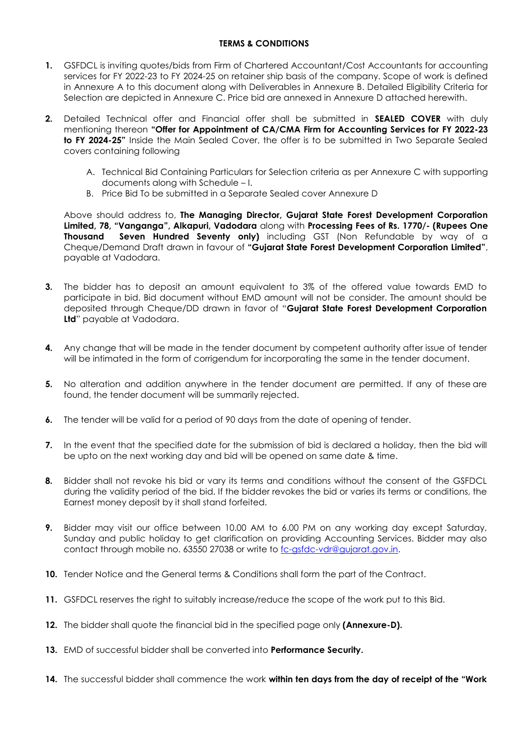#### **TERMS & CONDITIONS**

- **1.** GSFDCL is inviting quotes/bids from Firm of Chartered Accountant/Cost Accountants for accounting services for FY 2022-23 to FY 2024-25 on retainer ship basis of the company. Scope of work is defined in Annexure A to this document along with Deliverables in Annexure B. Detailed Eligibility Criteria for Selection are depicted in Annexure C. Price bid are annexed in Annexure D attached herewith.
- **2.** Detailed Technical offer and Financial offer shall be submitted in **SEALED COVER** with duly mentioning thereon **"Offer for Appointment of CA/CMA Firm for Accounting Services for FY 2022-23 to FY 2024-25"** Inside the Main Sealed Cover, the offer is to be submitted in Two Separate Sealed covers containing following
	- A. Technical Bid Containing Particulars for Selection criteria as per Annexure C with supporting documents along with Schedule – I.
	- B. Price Bid To be submitted in a Separate Sealed cover Annexure D

Above should address to, **The Managing Director, Gujarat State Forest Development Corporation Limited, 78, "Vanganga", Alkapuri, Vadodara** along with **Processing Fees of Rs. 1770/- (Rupees One Thousand Seven Hundred Seventy only)** including GST (Non Refundable by way of a Cheque/Demand Draft drawn in favour of **"Gujarat State Forest Development Corporation Limited"**, payable at Vadodara.

- **3.** The bidder has to deposit an amount equivalent to 3% of the offered value towards EMD to participate in bid. Bid document without EMD amount will not be consider. The amount should be deposited through Cheque/DD drawn in favor of "**Gujarat State Forest Development Corporation Ltd**" payable at Vadodara.
- **4.** Any change that will be made in the tender document by competent authority after issue of tender will be intimated in the form of corrigendum for incorporating the same in the tender document.
- **5.** No alteration and addition anywhere in the tender document are permitted. If any of these are found, the tender document will be summarily rejected.
- **6.** The tender will be valid for a period of 90 days from the date of opening of tender.
- **7.** In the event that the specified date for the submission of bid is declared a holiday, then the bid will be upto on the next working day and bid will be opened on same date & time.
- **8.** Bidder shall not revoke his bid or vary its terms and conditions without the consent of the GSFDCL during the validity period of the bid. If the bidder revokes the bid or varies its terms or conditions, the Earnest money deposit by it shall stand forfeited.
- **9.** Bidder may visit our office between 10.00 AM to 6.00 PM on any working day except Saturday, Sunday and public holiday to get clarification on providing Accounting Services. Bidder may also contact through mobile no. 63550 27038 or write to [fc-gsfdc-vdr@gujarat.gov.in.](mailto:fc-gsfdc-vdr@gujarat.gov.in)
- **10.** Tender Notice and the General terms & Conditions shall form the part of the Contract.
- **11.** GSFDCL reserves the right to suitably increase/reduce the scope of the work put to this Bid.
- **12.** The bidder shall quote the financial bid in the specified page only **(Annexure-D).**
- **13.** EMD of successful bidder shall be converted into **Performance Security.**
- **14.** The successful bidder shall commence the work **within ten days from the day of receipt of the "Work**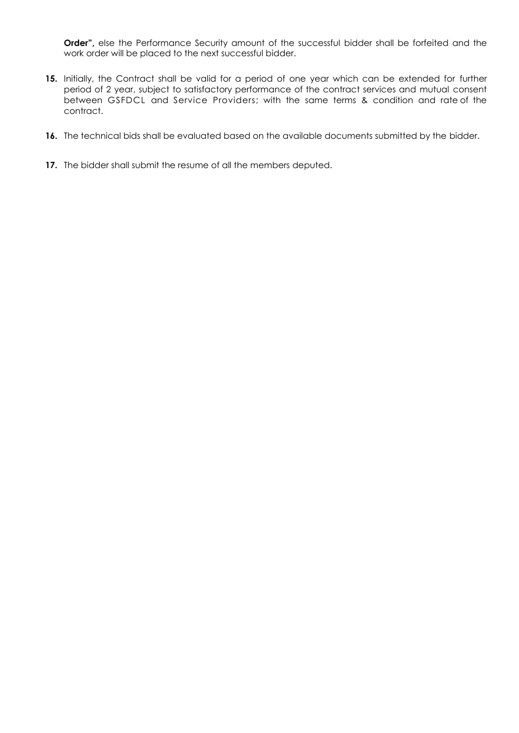**Order",** else the Performance Security amount of the successful bidder shall be forfeited and the work order will be placed to the next successful bidder.

- **15.** Initially, the Contract shall be valid for a period of one year which can be extended for further period of 2 year, subject to satisfactory performance of the contract services and mutual consent between GSFDCL and Service Providers; with the same terms & condition and rate of the contract.
- **16.** The technical bids shall be evaluated based on the available documents submitted by the bidder.
- **17.** The bidder shall submit the resume of all the members deputed.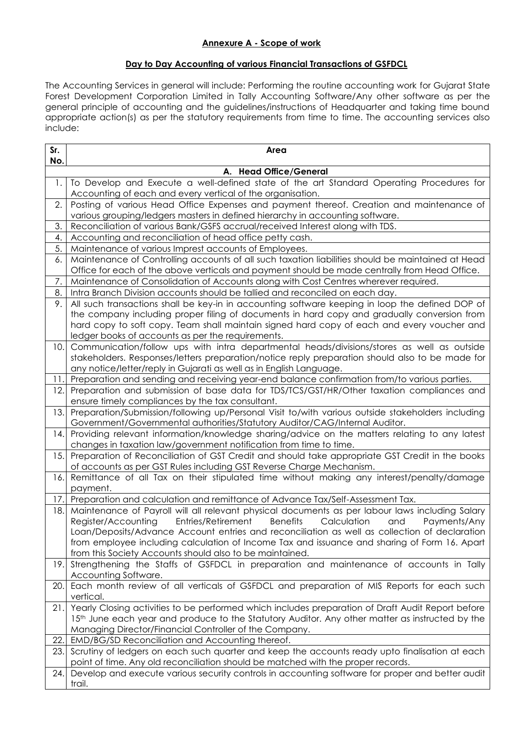### **Annexure A - Scope of work**

### **Day to Day Accounting of various Financial Transactions of GSFDCL**

The Accounting Services in general will include: Performing the routine accounting work for Gujarat State Forest Development Corporation Limited in Tally Accounting Software/Any other software as per the general principle of accounting and the guidelines/instructions of Headquarter and taking time bound appropriate action(s) as per the statutory requirements from time to time. The accounting services also include:

| Sr.<br>No. | Area                                                                                                                                                                                           |  |  |  |  |
|------------|------------------------------------------------------------------------------------------------------------------------------------------------------------------------------------------------|--|--|--|--|
|            | A. Head Office/General                                                                                                                                                                         |  |  |  |  |
| 1.         | To Develop and Execute a well-defined state of the art Standard Operating Procedures for                                                                                                       |  |  |  |  |
|            | Accounting of each and every vertical of the organisation.                                                                                                                                     |  |  |  |  |
| 2.         | Posting of various Head Office Expenses and payment thereof. Creation and maintenance of                                                                                                       |  |  |  |  |
|            | various grouping/ledgers masters in defined hierarchy in accounting software.                                                                                                                  |  |  |  |  |
| 3.         | Reconciliation of various Bank/GSFS accrual/received Interest along with TDS.                                                                                                                  |  |  |  |  |
| 4.         | Accounting and reconciliation of head office petty cash.                                                                                                                                       |  |  |  |  |
| 5.         | Maintenance of various Imprest accounts of Employees.                                                                                                                                          |  |  |  |  |
| 6.         | Maintenance of Controlling accounts of all such taxation liabilities should be maintained at Head                                                                                              |  |  |  |  |
|            | Office for each of the above verticals and payment should be made centrally from Head Office.                                                                                                  |  |  |  |  |
| 7.<br>8.   | Maintenance of Consolidation of Accounts along with Cost Centres wherever required.                                                                                                            |  |  |  |  |
| 9.         | Intra Branch Division accounts should be tallied and reconciled on each day.                                                                                                                   |  |  |  |  |
|            | All such transactions shall be key-in in accounting software keeping in loop the defined DOP of<br>the company including proper filing of documents in hard copy and gradually conversion from |  |  |  |  |
|            | hard copy to soft copy. Team shall maintain signed hard copy of each and every voucher and                                                                                                     |  |  |  |  |
|            | ledger books of accounts as per the requirements.                                                                                                                                              |  |  |  |  |
| 10.1       | Communication/follow ups with intra departmental heads/divisions/stores as well as outside                                                                                                     |  |  |  |  |
|            | stakeholders. Responses/letters preparation/notice reply preparation should also to be made for                                                                                                |  |  |  |  |
|            | any notice/letter/reply in Gujarati as well as in English Language.                                                                                                                            |  |  |  |  |
| 11.        | Preparation and sending and receiving year-end balance confirmation from/to various parties.                                                                                                   |  |  |  |  |
| 12.        | Preparation and submission of base data for TDS/TCS/GST/HR/Other taxation compliances and                                                                                                      |  |  |  |  |
|            | ensure timely compliances by the tax consultant.                                                                                                                                               |  |  |  |  |
| 13.        | Preparation/Submission/following up/Personal Visit to/with various outside stakeholders including                                                                                              |  |  |  |  |
|            | Government/Governmental authorities/Statutory Auditor/CAG/Internal Auditor.                                                                                                                    |  |  |  |  |
| 14.        | Providing relevant information/knowledge sharing/advice on the matters relating to any latest                                                                                                  |  |  |  |  |
|            | changes in taxation law/government notification from time to time.                                                                                                                             |  |  |  |  |
| 15.        | Preparation of Reconciliation of GST Credit and should take appropriate GST Credit in the books                                                                                                |  |  |  |  |
|            | of accounts as per GST Rules including GST Reverse Charge Mechanism.                                                                                                                           |  |  |  |  |
| 16.        | Remittance of all Tax on their stipulated time without making any interest/penalty/damage<br>payment.                                                                                          |  |  |  |  |
| 17.        | Preparation and calculation and remittance of Advance Tax/Self-Assessment Tax.                                                                                                                 |  |  |  |  |
| 18.        | Maintenance of Payroll will all relevant physical documents as per labour laws including Salary                                                                                                |  |  |  |  |
|            | Register/Accounting<br>Entries/Retirement<br><b>Benefits</b><br>Calculation<br>and<br>Payments/Any                                                                                             |  |  |  |  |
|            | Loan/Deposits/Advance Account entries and reconciliation as well as collection of declaration                                                                                                  |  |  |  |  |
|            | from employee including calculation of Income Tax and issuance and sharing of Form 16. Apart                                                                                                   |  |  |  |  |
|            | from this Society Accounts should also to be maintained.                                                                                                                                       |  |  |  |  |
| 19.        | Strengthening the Staffs of GSFDCL in preparation and maintenance of accounts in Tally                                                                                                         |  |  |  |  |
|            | Accounting Software.                                                                                                                                                                           |  |  |  |  |
| 20.        | Each month review of all verticals of GSFDCL and preparation of MIS Reports for each such                                                                                                      |  |  |  |  |
|            | vertical.                                                                                                                                                                                      |  |  |  |  |
| 21.        | Yearly Closing activities to be performed which includes preparation of Draft Audit Report before                                                                                              |  |  |  |  |
|            | 15th June each year and produce to the Statutory Auditor. Any other matter as instructed by the                                                                                                |  |  |  |  |
|            | Managing Director/Financial Controller of the Company.                                                                                                                                         |  |  |  |  |
| 22.        | EMD/BG/SD Reconciliation and Accounting thereof.                                                                                                                                               |  |  |  |  |
| 23.        | Scrutiny of ledgers on each such quarter and keep the accounts ready upto finalisation at each                                                                                                 |  |  |  |  |
| 24.        | point of time. Any old reconciliation should be matched with the proper records.<br>Develop and execute various security controls in accounting software for proper and better audit           |  |  |  |  |
|            | trail.                                                                                                                                                                                         |  |  |  |  |
|            |                                                                                                                                                                                                |  |  |  |  |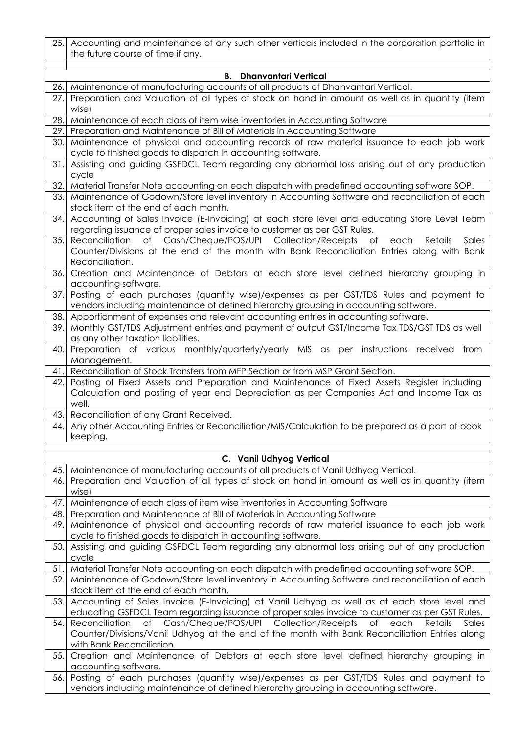|     | 25. Accounting and maintenance of any such other verticals included in the corporation portfolio in<br>the future course of time if any.                                                                                     |
|-----|------------------------------------------------------------------------------------------------------------------------------------------------------------------------------------------------------------------------------|
|     |                                                                                                                                                                                                                              |
|     | B.<br><b>Dhanvantari Vertical</b>                                                                                                                                                                                            |
| 26. | Maintenance of manufacturing accounts of all products of Dhanvantari Vertical.                                                                                                                                               |
| 27. | Preparation and Valuation of all types of stock on hand in amount as well as in quantity (item<br>wise)                                                                                                                      |
| 28. | Maintenance of each class of item wise inventories in Accounting Software                                                                                                                                                    |
| 29. | Preparation and Maintenance of Bill of Materials in Accounting Software                                                                                                                                                      |
| 30. | Maintenance of physical and accounting records of raw material issuance to each job work<br>cycle to finished goods to dispatch in accounting software.                                                                      |
| 31. | Assisting and guiding GSFDCL Team regarding any abnormal loss arising out of any production<br>cycle                                                                                                                         |
| 32. | Material Transfer Note accounting on each dispatch with predefined accounting software SOP.                                                                                                                                  |
| 33. | Maintenance of Godown/Store level inventory in Accounting Software and reconciliation of each<br>stock item at the end of each month.                                                                                        |
| 34. | Accounting of Sales Invoice (E-Invoicing) at each store level and educating Store Level Team<br>regarding issuance of proper sales invoice to customer as per GST Rules.                                                     |
| 35. | of Cash/Cheque/POS/UPI Collection/Receipts<br>Reconciliation<br>Sales<br>Оf<br>Retails<br>each<br>Counter/Divisions at the end of the month with Bank Reconciliation Entries along with Bank<br>Reconciliation.              |
| 36. | Creation and Maintenance of Debtors at each store level defined hierarchy grouping in<br>accounting software.                                                                                                                |
| 37. | Posting of each purchases (quantity wise)/expenses as per GST/TDS Rules and payment to                                                                                                                                       |
|     | vendors including maintenance of defined hierarchy grouping in accounting software.                                                                                                                                          |
| 38. | Apportionment of expenses and relevant accounting entries in accounting software.                                                                                                                                            |
| 39. | Monthly GST/TDS Adjustment entries and payment of output GST/Income Tax TDS/GST TDS as well<br>as any other taxation liabilities.                                                                                            |
| 40. | Preparation of various monthly/quarterly/yearly MIS as per instructions received from<br>Management.                                                                                                                         |
| 41. | Reconciliation of Stock Transfers from MFP Section or from MSP Grant Section.                                                                                                                                                |
| 42. | Posting of Fixed Assets and Preparation and Maintenance of Fixed Assets Register including<br>Calculation and posting of year end Depreciation as per Companies Act and Income Tax as<br>well.                               |
| 43. | Reconciliation of any Grant Received.                                                                                                                                                                                        |
| 44. | Any other Accounting Entries or Reconciliation/MIS/Calculation to be prepared as a part of book<br>keeping.                                                                                                                  |
|     |                                                                                                                                                                                                                              |
|     | C. Vanil Udhyog Vertical                                                                                                                                                                                                     |
| 45. | Maintenance of manufacturing accounts of all products of Vanil Udhyog Vertical.                                                                                                                                              |
| 46. | Preparation and Valuation of all types of stock on hand in amount as well as in quantity (item<br>wise)                                                                                                                      |
| 47. | Maintenance of each class of item wise inventories in Accounting Software                                                                                                                                                    |
| 48. | Preparation and Maintenance of Bill of Materials in Accounting Software                                                                                                                                                      |
| 49. | Maintenance of physical and accounting records of raw material issuance to each job work                                                                                                                                     |
| 50. | cycle to finished goods to dispatch in accounting software.<br>Assisting and guiding GSFDCL Team regarding any abnormal loss arising out of any production                                                                   |
|     | cycle                                                                                                                                                                                                                        |
| 51  | Material Transfer Note accounting on each dispatch with predefined accounting software SOP.                                                                                                                                  |
| 52. | Maintenance of Godown/Store level inventory in Accounting Software and reconciliation of each<br>stock item at the end of each month.                                                                                        |
| 53. | Accounting of Sales Invoice (E-Invoicing) at Vanil Udhyog as well as at each store level and<br>educating GSFDCL Team regarding issuance of proper sales invoice to customer as per GST Rules.                               |
| 54. | of Cash/Cheque/POS/UPI Collection/Receipts<br>Reconciliation<br>of<br>each<br>Retails<br>Sales<br>Counter/Divisions/Vanil Udhyog at the end of the month with Bank Reconciliation Entries along<br>with Bank Reconciliation. |
| 55. | Creation and Maintenance of Debtors at each store level defined hierarchy grouping in<br>accounting software.                                                                                                                |
| 56. | Posting of each purchases (quantity wise)/expenses as per GST/TDS Rules and payment to<br>vendors including maintenance of defined hierarchy grouping in accounting software.                                                |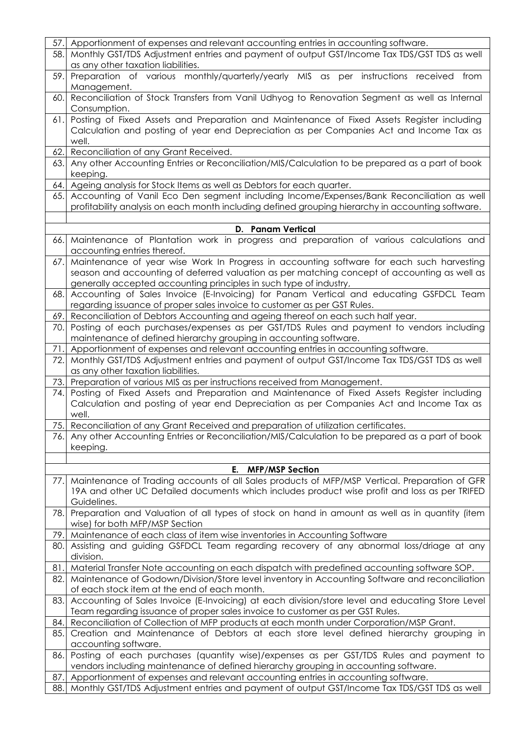| 57.  | Apportionment of expenses and relevant accounting entries in accounting software.                                                                                                     |
|------|---------------------------------------------------------------------------------------------------------------------------------------------------------------------------------------|
| 58.  | Monthly GST/TDS Adjustment entries and payment of output GST/Income Tax TDS/GST TDS as well                                                                                           |
|      | as any other taxation liabilities.                                                                                                                                                    |
| 59.  | Preparation of various monthly/quarterly/yearly MIS as per instructions received<br>from                                                                                              |
|      | Management.                                                                                                                                                                           |
| 60.  | Reconciliation of Stock Transfers from Vanil Udhyog to Renovation Segment as well as Internal                                                                                         |
|      | Consumption.                                                                                                                                                                          |
| 61.  | Posting of Fixed Assets and Preparation and Maintenance of Fixed Assets Register including                                                                                            |
|      | Calculation and posting of year end Depreciation as per Companies Act and Income Tax as                                                                                               |
|      | well.                                                                                                                                                                                 |
| 62.  | Reconciliation of any Grant Received.                                                                                                                                                 |
| 63.  | Any other Accounting Entries or Reconciliation/MIS/Calculation to be prepared as a part of book                                                                                       |
|      | keeping.                                                                                                                                                                              |
| 64.  | Ageing analysis for Stock Items as well as Debtors for each quarter.                                                                                                                  |
| 65.  | Accounting of Vanil Eco Den segment including Income/Expenses/Bank Reconciliation as well                                                                                             |
|      | profitability analysis on each month including defined grouping hierarchy in accounting software.                                                                                     |
|      |                                                                                                                                                                                       |
|      | <b>D.</b> Panam Vertical                                                                                                                                                              |
| 66.  | Maintenance of Plantation work in progress and preparation of various calculations and                                                                                                |
|      | accounting entries thereof.                                                                                                                                                           |
| 67.  | Maintenance of year wise Work In Progress in accounting software for each such harvesting                                                                                             |
|      | season and accounting of deferred valuation as per matching concept of accounting as well as                                                                                          |
|      | generally accepted accounting principles in such type of industry,                                                                                                                    |
| 68.  | Accounting of Sales Invoice (E-Invoicing) for Panam Vertical and educating GSFDCL Team                                                                                                |
|      | regarding issuance of proper sales invoice to customer as per GST Rules.                                                                                                              |
| 69.  | Reconciliation of Debtors Accounting and ageing thereof on each such half year.                                                                                                       |
| 70.  | Posting of each purchases/expenses as per GST/TDS Rules and payment to vendors including                                                                                              |
|      | maintenance of defined hierarchy grouping in accounting software.                                                                                                                     |
| 71.  | Apportionment of expenses and relevant accounting entries in accounting software.                                                                                                     |
| 72.  | Monthly GST/TDS Adjustment entries and payment of output GST/Income Tax TDS/GST TDS as well                                                                                           |
|      | as any other taxation liabilities.                                                                                                                                                    |
| 73.  | Preparation of various MIS as per instructions received from Management.                                                                                                              |
| 74.  | Posting of Fixed Assets and Preparation and Maintenance of Fixed Assets Register including<br>Calculation and posting of year end Depreciation as per Companies Act and Income Tax as |
|      | well.                                                                                                                                                                                 |
|      | 75. Reconciliation of any Grant Received and preparation of utilization certificates.                                                                                                 |
| 76.1 | Any other Accounting Entries or Reconciliation/MIS/Calculation to be prepared as a part of book                                                                                       |
|      | keeping.                                                                                                                                                                              |
|      |                                                                                                                                                                                       |
|      | E.<br><b>MFP/MSP Section</b>                                                                                                                                                          |
| 77.I | Maintenance of Trading accounts of all Sales products of MFP/MSP Vertical. Preparation of GFR                                                                                         |
|      | 19A and other UC Detailed documents which includes product wise profit and loss as per TRIFED                                                                                         |
|      | Guidelines.                                                                                                                                                                           |
| 78.I | Preparation and Valuation of all types of stock on hand in amount as well as in quantity (item                                                                                        |
|      | wise) for both MFP/MSP Section                                                                                                                                                        |
| 79.  | Maintenance of each class of item wise inventories in Accounting Software                                                                                                             |
| 80.  | Assisting and guiding GSFDCL Team regarding recovery of any abnormal loss/driage at any                                                                                               |
|      | division.                                                                                                                                                                             |
| 81.  | Material Transfer Note accounting on each dispatch with predefined accounting software SOP.                                                                                           |
| 82.  | Maintenance of Godown/Division/Store level inventory in Accounting Software and reconciliation                                                                                        |
|      | of each stock item at the end of each month.                                                                                                                                          |
| 83.  | Accounting of Sales Invoice (E-Invoicing) at each division/store level and educating Store Level                                                                                      |
|      | Team regarding issuance of proper sales invoice to customer as per GST Rules.                                                                                                         |
| 84.  | Reconciliation of Collection of MFP products at each month under Corporation/MSP Grant.                                                                                               |
| 85.  | Creation and Maintenance of Debtors at each store level defined hierarchy grouping in                                                                                                 |
|      | accounting software.                                                                                                                                                                  |
| 86.  | Posting of each purchases (quantity wise)/expenses as per GST/TDS Rules and payment to                                                                                                |
|      | vendors including maintenance of defined hierarchy grouping in accounting software.                                                                                                   |
| 87.  | Apportionment of expenses and relevant accounting entries in accounting software.                                                                                                     |
| 88.  | Monthly GST/TDS Adjustment entries and payment of output GST/Income Tax TDS/GST TDS as well                                                                                           |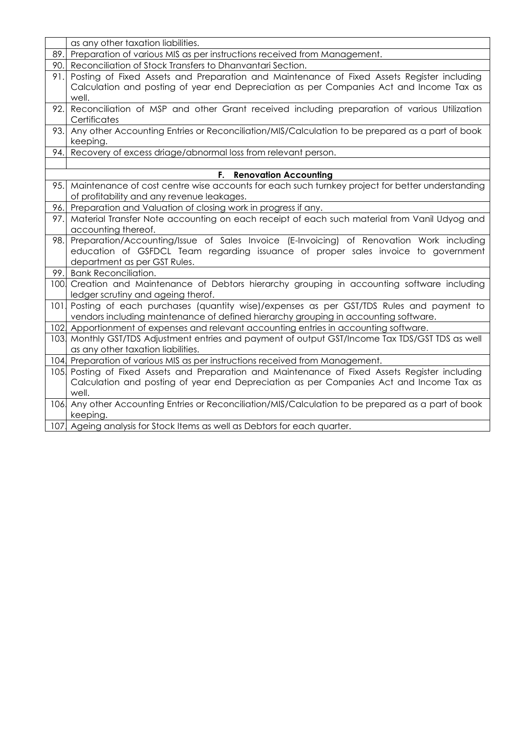|                  | as any other taxation liabilities.                                                                  |
|------------------|-----------------------------------------------------------------------------------------------------|
| 89.              | Preparation of various MIS as per instructions received from Management.                            |
| 90.              | Reconciliation of Stock Transfers to Dhanvantari Section.                                           |
| 91.              | Posting of Fixed Assets and Preparation and Maintenance of Fixed Assets Register including          |
|                  | Calculation and posting of year end Depreciation as per Companies Act and Income Tax as             |
|                  | well.                                                                                               |
| 92.              | Reconciliation of MSP and other Grant received including preparation of various Utilization         |
|                  | Certificates                                                                                        |
|                  | 93. Any other Accounting Entries or Reconciliation/MIS/Calculation to be prepared as a part of book |
|                  | keeping.                                                                                            |
|                  | 94. Recovery of excess driage/abnormal loss from relevant person.                                   |
|                  |                                                                                                     |
|                  | F.<br><b>Renovation Accounting</b>                                                                  |
| 95.              | Maintenance of cost centre wise accounts for each such turnkey project for better understanding     |
|                  | of profitability and any revenue leakages.                                                          |
|                  | 96. Preparation and Valuation of closing work in progress if any.                                   |
| 97.              | Material Transfer Note accounting on each receipt of each such material from Vanil Udyog and        |
|                  | accounting thereof.                                                                                 |
| 98.              | Preparation/Accounting/Issue of Sales Invoice (E-Invoicing) of Renovation Work including            |
|                  | education of GSFDCL Team regarding issuance of proper sales invoice to government                   |
|                  | department as per GST Rules.                                                                        |
|                  | 99. Bank Reconciliation.                                                                            |
| 100 <sub>l</sub> | Creation and Maintenance of Debtors hierarchy grouping in accounting software including             |
|                  | ledger scrutiny and ageing therof.                                                                  |
| 101              | Posting of each purchases (quantity wise)/expenses as per GST/TDS Rules and payment to              |
|                  | vendors including maintenance of defined hierarchy grouping in accounting software.                 |
|                  | 102 Apportionment of expenses and relevant accounting entries in accounting software.               |
|                  | 103 Monthly GST/TDS Adjustment entries and payment of output GST/Income Tax TDS/GST TDS as well     |
|                  | as any other taxation liabilities.                                                                  |
|                  | 104 Preparation of various MIS as per instructions received from Management.                        |
|                  | 105 Posting of Fixed Assets and Preparation and Maintenance of Fixed Assets Register including      |
|                  | Calculation and posting of year end Depreciation as per Companies Act and Income Tax as             |
|                  | well.                                                                                               |
|                  | 106 Any other Accounting Entries or Reconciliation/MIS/Calculation to be prepared as a part of book |
|                  | keeping.                                                                                            |
|                  | 107 Ageing analysis for Stock Items as well as Debtors for each quarter.                            |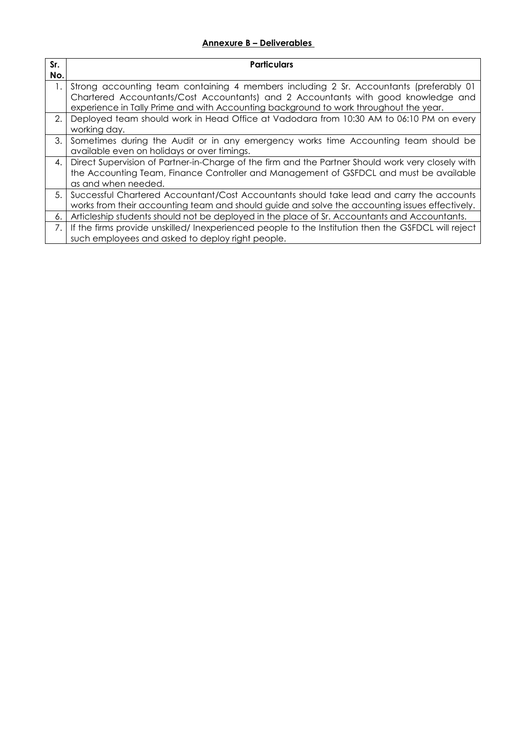### **Annexure B – Deliverables**

| Sr. | <b>Particulars</b>                                                                                                                                                                                                                                                   |
|-----|----------------------------------------------------------------------------------------------------------------------------------------------------------------------------------------------------------------------------------------------------------------------|
| No. |                                                                                                                                                                                                                                                                      |
| 1.  | Strong accounting team containing 4 members including 2 Sr. Accountants (preferably 01<br>Chartered Accountants/Cost Accountants) and 2 Accountants with good knowledge and<br>experience in Tally Prime and with Accounting background to work throughout the year. |
| 2.  | Deployed team should work in Head Office at Vadodara from 10:30 AM to 06:10 PM on every<br>working day.                                                                                                                                                              |
| 3.  | Sometimes during the Audit or in any emergency works time Accounting team should be<br>available even on holidays or over timings.                                                                                                                                   |
| 4.  | Direct Supervision of Partner-in-Charge of the firm and the Partner Should work very closely with<br>the Accounting Team, Finance Controller and Management of GSFDCL and must be available<br>as and when needed.                                                   |
| 5.  | Successful Chartered Accountant/Cost Accountants should take lead and carry the accounts<br>works from their accounting team and should guide and solve the accounting issues effectively.                                                                           |
| 6.  | Articleship students should not be deployed in the place of Sr. Accountants and Accountants.                                                                                                                                                                         |
| 7.  | If the firms provide unskilled/ Inexperienced people to the Institution then the GSFDCL will reject<br>such employees and asked to deploy right people.                                                                                                              |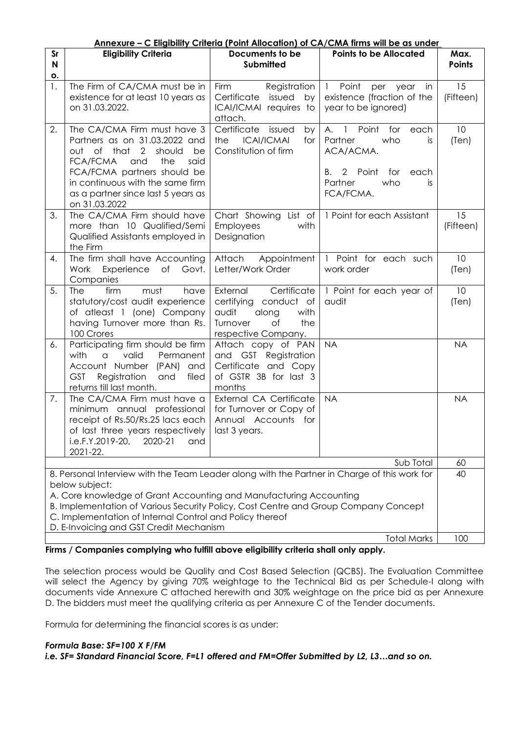| <u>Annexure – C Eligibility Criteria (Point Allocation) of CA/CMA firms will be as under</u>                                                                                                                                                                                                                                                                                       |                                                                                                                                                                                                                                                                  |                                                                                                                            |                                                                                                                                       |                       |  |
|------------------------------------------------------------------------------------------------------------------------------------------------------------------------------------------------------------------------------------------------------------------------------------------------------------------------------------------------------------------------------------|------------------------------------------------------------------------------------------------------------------------------------------------------------------------------------------------------------------------------------------------------------------|----------------------------------------------------------------------------------------------------------------------------|---------------------------------------------------------------------------------------------------------------------------------------|-----------------------|--|
| Sr<br>N<br>О.                                                                                                                                                                                                                                                                                                                                                                      | <b>Eligibility Criteria</b>                                                                                                                                                                                                                                      | Documents to be<br><b>Submitted</b>                                                                                        | <b>Points to be Allocated</b>                                                                                                         | Max.<br><b>Points</b> |  |
| 1.                                                                                                                                                                                                                                                                                                                                                                                 | The Firm of CA/CMA must be in<br>existence for at least 10 years as<br>on 31.03.2022.                                                                                                                                                                            | <b>Firm</b><br>Registration<br>issued by<br>Certificate<br>ICAI/ICMAI requires to<br>attach.                               | 1 Point<br>per year<br>in.<br>existence (fraction of the<br>year to be ignored)                                                       | 15<br>(Fifteen)       |  |
| 2.                                                                                                                                                                                                                                                                                                                                                                                 | The CA/CMA Firm must have 3<br>Partners as on 31.03.2022 and<br>out of that 2<br>should<br>be<br><b>FCA/FCMA</b><br>and<br>the<br>said<br>FCA/FCMA partners should be<br>in continuous with the same firm<br>as a partner since last 5 years as<br>on 31.03.2022 | Certificate<br>issued<br>by<br>the<br><b>ICAI/ICMAI</b><br>for<br>Constitution of firm                                     | A. 1 Point for<br>each<br>Partner<br>who<br>is.<br>ACA/ACMA.<br>2<br>Point<br>for<br>each<br>В.<br>Partner<br>who<br>is.<br>FCA/FCMA. | 10<br>(Ten)           |  |
| 3.                                                                                                                                                                                                                                                                                                                                                                                 | The CA/CMA Firm should have<br>more than 10 Qualified/Semi<br>Qualified Assistants employed in<br>the Firm                                                                                                                                                       | Chart Showing List of<br><b>Employees</b><br>with<br>Designation                                                           | 1 Point for each Assistant                                                                                                            | 15<br>(Fifteen)       |  |
| 4.                                                                                                                                                                                                                                                                                                                                                                                 | The firm shall have Accounting<br>Work<br>Experience of<br>Govt.<br>Companies                                                                                                                                                                                    | Attach<br>Appointment<br>Letter/Work Order                                                                                 | 1 Point for each such<br>work order                                                                                                   | 10<br>(Ten)           |  |
| 5.                                                                                                                                                                                                                                                                                                                                                                                 | firm<br>must<br><b>The</b><br>have<br>statutory/cost audit experience<br>of atleast 1 (one) Company<br>having Turnover more than Rs.<br>100 Crores                                                                                                               | External<br>Certificate<br>certifying conduct of<br>audit<br>along<br>with<br>Turnover<br>Оf<br>the<br>respective Company. | 1 Point for each year of<br>audit                                                                                                     | 10<br>(Ten)           |  |
| 6.                                                                                                                                                                                                                                                                                                                                                                                 | Participating firm should be firm<br>with<br>valid<br>Permanent<br>$\alpha$<br>Account Number (PAN)<br>and<br><b>GST</b><br>Registration<br>and<br>filed<br>returns till last month.                                                                             | Attach copy of PAN<br>and GST Registration<br>Certificate and Copy<br>of GSTR 3B for last 3<br>months                      | <b>NA</b>                                                                                                                             | <b>NA</b>             |  |
| 7.                                                                                                                                                                                                                                                                                                                                                                                 | The CA/CMA Firm must have a<br>minimum annual professional<br>receipt of Rs.50/Rs.25 lacs each<br>of last three years respectively<br>i.e.F.Y.2019-20,<br>2020-21<br>and<br>2021-22.                                                                             | <b>External CA Certificate</b><br>for Turnover or Copy of<br>Annual Accounts for<br>last 3 years.                          | <b>NA</b>                                                                                                                             | <b>NA</b>             |  |
| Sub Total                                                                                                                                                                                                                                                                                                                                                                          |                                                                                                                                                                                                                                                                  |                                                                                                                            |                                                                                                                                       |                       |  |
| 8. Personal Interview with the Team Leader along with the Partner in Charge of this work for<br>below subject:<br>A. Core knowledge of Grant Accounting and Manufacturing Accounting<br>B. Implementation of Various Security Policy, Cost Centre and Group Company Concept<br>C. Implementation of Internal Control and Policy thereof<br>D. E-Invoicing and GST Credit Mechanism |                                                                                                                                                                                                                                                                  |                                                                                                                            |                                                                                                                                       |                       |  |
| <b>Total Marks</b>                                                                                                                                                                                                                                                                                                                                                                 |                                                                                                                                                                                                                                                                  |                                                                                                                            |                                                                                                                                       |                       |  |

**Firms / Companies complying who fulfill above eligibility criteria shall only apply.**

The selection process would be Quality and Cost Based Selection (QCBS). The Evaluation Committee will select the Agency by giving 70% weightage to the Technical Bid as per Schedule-I along with documents vide Annexure C attached herewith and 30% weightage on the price bid as per Annexure D. The bidders must meet the qualifying criteria as per Annexure C of the Tender documents.

Formula for determining the financial scores is as under:

### *Formula Base: SF=100 X F/FM*

*i.e. SF= Standard Financial Score, F=L1 offered and FM=Offer Submitted by L2, L3…and so on.*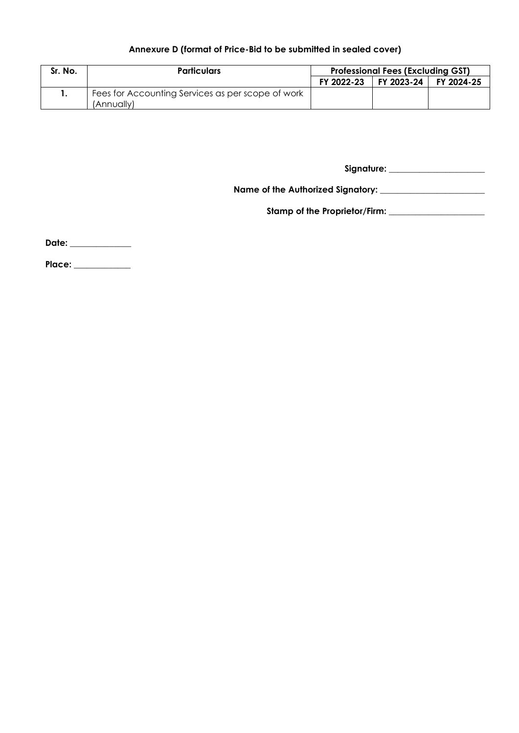## **Annexure D (format of Price-Bid to be submitted in sealed cover)**

| Sr. No. | <b>Particulars</b>                                | <b>Professional Fees (Excluding GST)</b> |            |            |
|---------|---------------------------------------------------|------------------------------------------|------------|------------|
|         |                                                   | FY 2022-23                               | FY 2023-24 | FY 2024-25 |
|         | Fees for Accounting Services as per scope of work |                                          |            |            |
|         | (Annuallv)                                        |                                          |            |            |

**Signature: \_\_\_\_\_\_\_\_\_\_\_\_\_\_\_\_\_\_\_\_\_\_**

**Name of the Authorized Signatory: \_\_\_\_\_\_\_\_\_\_\_\_\_\_\_\_\_\_\_\_\_\_\_\_**

**Stamp of the Proprietor/Firm: \_\_\_\_\_\_\_\_\_\_\_\_\_\_\_\_\_\_\_\_\_\_** 

**Date: \_\_\_\_\_\_\_\_\_\_\_\_\_\_**

**Place: \_\_\_\_\_\_\_\_\_\_\_\_\_**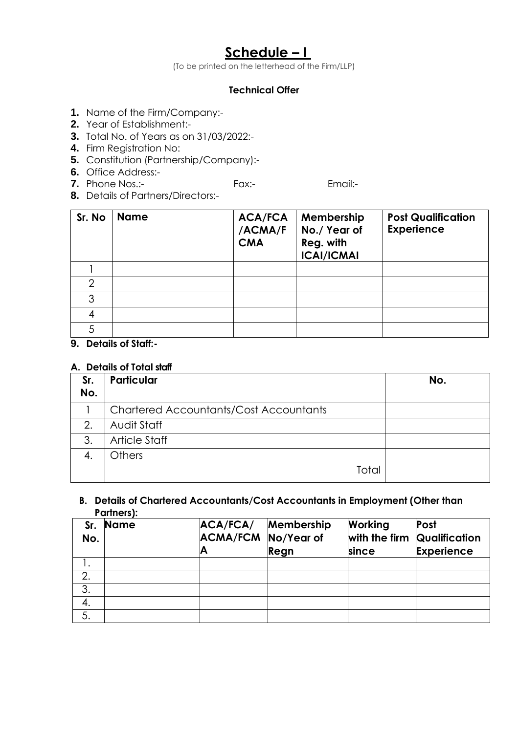# **Schedule – I**

(To be printed on the letterhead of the Firm/LLP)

## **Technical Offer**

- **1.** Name of the Firm/Company:-
- **2.** Year of Establishment:-
- **3.** Total No. of Years as on 31/03/2022:-
- **4.** Firm Registration No:
- **5.** Constitution (Partnership/Company):-
- **6.** Office Address:-
- **7.** Phone Nos.:- Fax:- Fax:- Email:-
- **8.** Details of Partners/Directors:-

| Sr. No        | <b>Name</b> | <b>ACA/FCA</b><br>/ACMA/F<br><b>CMA</b> | Membership<br>No./ Year of<br>Reg. with<br><b>ICAI/ICMAI</b> | <b>Post Qualification</b><br><b>Experience</b> |
|---------------|-------------|-----------------------------------------|--------------------------------------------------------------|------------------------------------------------|
|               |             |                                         |                                                              |                                                |
| $\mathcal{P}$ |             |                                         |                                                              |                                                |
| 3             |             |                                         |                                                              |                                                |
|               |             |                                         |                                                              |                                                |
| 5             |             |                                         |                                                              |                                                |

**9. Details of Staff:-**

## **A. Details of Total staff**

| Sr.<br>No. | <b>Particular</b>                             | No. |
|------------|-----------------------------------------------|-----|
|            | <b>Chartered Accountants/Cost Accountants</b> |     |
| 2.         | Audit Staff                                   |     |
| 3.         | Article Staff                                 |     |
|            | Others                                        |     |
|            | Total                                         |     |

### **B. Details of Chartered Accountants/Cost Accountants in Employment (Other than Partners):**

| Sr.<br>No. | <b>Name</b> | ACA/FCA/<br><b>ACMA/FCM No/Year of</b> | Membership<br>Regn | Working<br>with the firm Qualification<br>since | Post<br><b>Experience</b> |
|------------|-------------|----------------------------------------|--------------------|-------------------------------------------------|---------------------------|
|            |             |                                        |                    |                                                 |                           |
| 2.         |             |                                        |                    |                                                 |                           |
| 3.         |             |                                        |                    |                                                 |                           |
| 4.         |             |                                        |                    |                                                 |                           |
| 5.         |             |                                        |                    |                                                 |                           |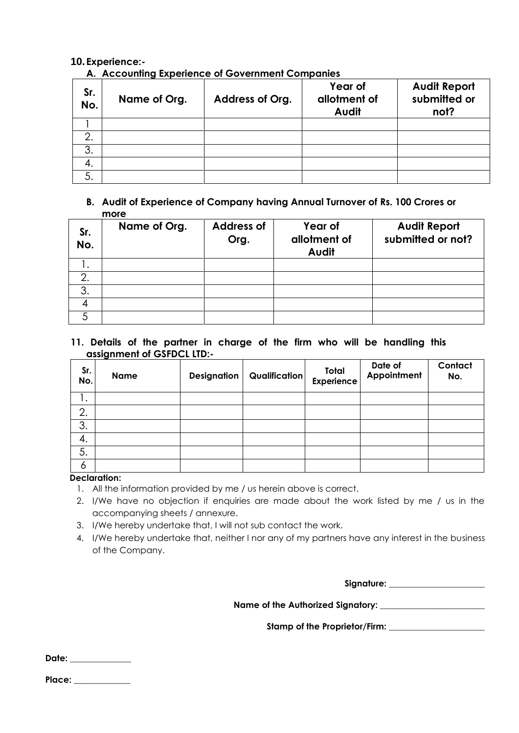### **10. Experience:-**

**A. Accounting Experience of Government Companies**

| Sr.<br>No. | Name of Org. | Address of Org. | Year of<br>allotment of<br>Audit | <b>Audit Report</b><br>submitted or<br>not? |
|------------|--------------|-----------------|----------------------------------|---------------------------------------------|
|            |              |                 |                                  |                                             |
| 2.         |              |                 |                                  |                                             |
| 3.         |              |                 |                                  |                                             |
| 4.         |              |                 |                                  |                                             |
|            |              |                 |                                  |                                             |

### **B. Audit of Experience of Company having Annual Turnover of Rs. 100 Crores or more**

| Sr.<br>No. | Name of Org. | <b>Address of</b><br>Org. | Year of<br>allotment of<br>Audit | <b>Audit Report</b><br>submitted or not? |
|------------|--------------|---------------------------|----------------------------------|------------------------------------------|
| ι.         |              |                           |                                  |                                          |
| 2.         |              |                           |                                  |                                          |
| 3.         |              |                           |                                  |                                          |
|            |              |                           |                                  |                                          |
|            |              |                           |                                  |                                          |

**11. Details of the partner in charge of the firm who will be handling this assignment of GSFDCL LTD:-**

| Sr.<br>No. | <b>Name</b> | <b>Designation</b> | <b>Qualification</b> | Total<br><b>Experience</b> | Date of<br>Appointment | Contact<br>No. |
|------------|-------------|--------------------|----------------------|----------------------------|------------------------|----------------|
| ι.         |             |                    |                      |                            |                        |                |
| 2.         |             |                    |                      |                            |                        |                |
| 3.         |             |                    |                      |                            |                        |                |
| 4.         |             |                    |                      |                            |                        |                |
| 5.         |             |                    |                      |                            |                        |                |
| 6          |             |                    |                      |                            |                        |                |

### **Declaration:**

- 1. All the information provided by me / us herein above is correct.
- 2. I/We have no objection if enquiries are made about the work listed by me / us in the accompanying sheets / annexure.
- 3. I/We hereby undertake that, I will not sub contact the work.
- 4. I/We hereby undertake that, neither I nor any of my partners have any interest in the business of the Company.

**Signature: \_\_\_\_\_\_\_\_\_\_\_\_\_\_\_\_\_\_\_\_\_\_**

**Name of the Authorized Signatory: \_\_\_\_\_\_\_\_\_\_\_\_\_\_\_\_\_\_\_\_\_\_\_\_**

**Stamp of the Proprietor/Firm: \_\_\_\_\_\_\_\_\_\_\_\_\_\_\_\_\_\_\_\_\_\_** 

**Date: \_\_\_\_\_\_\_\_\_\_\_\_\_\_**

**Place: \_\_\_\_\_\_\_\_\_\_\_\_\_**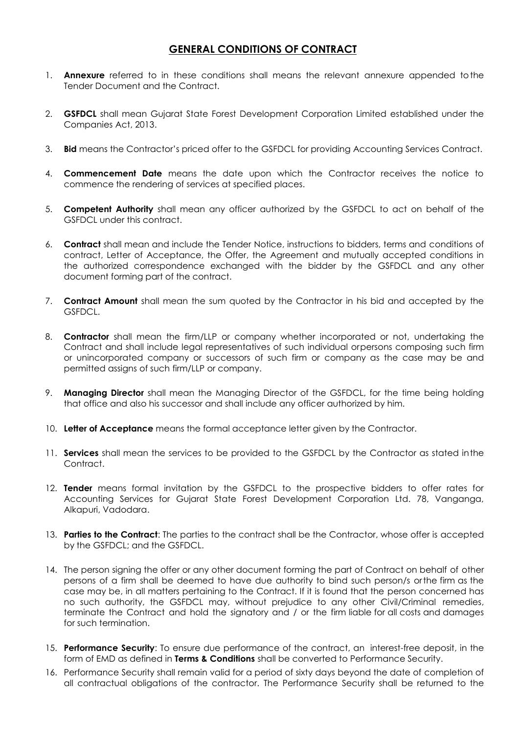## **GENERAL CONDITIONS OF CONTRACT**

- 1. **Annexure** referred to in these conditions shall means the relevant annexure appended tothe Tender Document and the Contract.
- 2. **GSFDCL** shall mean Gujarat State Forest Development Corporation Limited established under the Companies Act, 2013.
- 3. **Bid** means the Contractor"s priced offer to the GSFDCL for providing Accounting Services Contract.
- 4. **Commencement Date** means the date upon which the Contractor receives the notice to commence the rendering of services at specified places.
- 5. **Competent Authority** shall mean any officer authorized by the GSFDCL to act on behalf of the GSFDCL under this contract.
- 6. **Contract** shall mean and include the Tender Notice, instructions to bidders, terms and conditions of contract, Letter of Acceptance, the Offer, the Agreement and mutually accepted conditions in the authorized correspondence exchanged with the bidder by the GSFDCL and any other document forming part of the contract.
- 7. **Contract Amount** shall mean the sum quoted by the Contractor in his bid and accepted by the GSFDCL.
- 8. **Contractor** shall mean the firm/LLP or company whether incorporated or not, undertaking the Contract and shall include legal representatives of such individual orpersons composing such firm or unincorporated company or successors of such firm or company as the case may be and permitted assigns of such firm/LLP or company.
- 9. **Managing Director** shall mean the Managing Director of the GSFDCL, for the time being holding that office and also his successor and shall include any officer authorized by him.
- 10. **Letter of Acceptance** means the formal acceptance letter given by the Contractor.
- 11. **Services** shall mean the services to be provided to the GSFDCL by the Contractor as stated inthe Contract.
- 12. **Tender** means formal invitation by the GSFDCL to the prospective bidders to offer rates for Accounting Services for Gujarat State Forest Development Corporation Ltd. 78, Vanganga, Alkapuri, Vadodara.
- 13. **Parties to the Contract**: The parties to the contract shall be the Contractor, whose offer is accepted by the GSFDCL; and the GSFDCL.
- 14. The person signing the offer or any other document forming the part of Contract on behalf of other persons of a firm shall be deemed to have due authority to bind such person/s or the firm as the case may be, in all matters pertaining to the Contract. If it is found that the person concerned has no such authority, the GSFDCL may, without prejudice to any other Civil/Criminal remedies, terminate the Contract and hold the signatory and / or the firm liable for all costs and damages for such termination.
- 15. **Performance Security**: To ensure due performance of the contract, an interest-free deposit, in the form of EMD as defined in **Terms & Conditions** shall be converted to Performance Security.
- 16. Performance Security shall remain valid for a period of sixty days beyond the date of completion of all contractual obligations of the contractor. The Performance Security shall be returned to the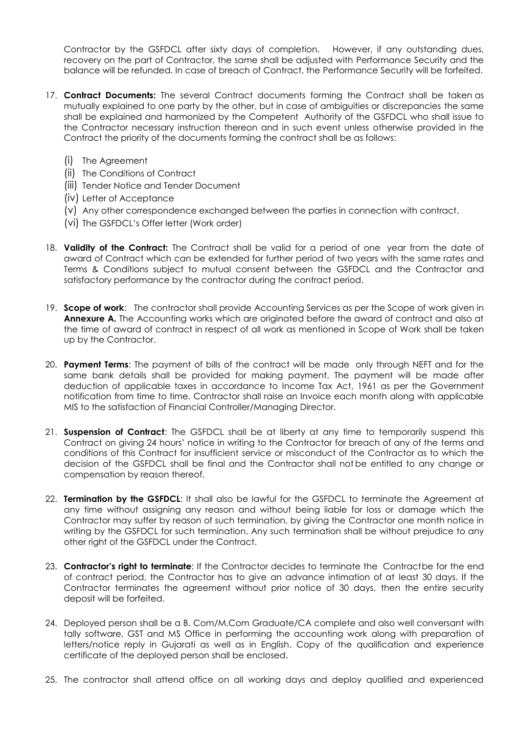Contractor by the GSFDCL after sixty days of completion. However, if any outstanding dues, recovery on the part of Contractor, the same shall be adjusted with Performance Security and the balance will be refunded. In case of breach of Contract, the Performance Security will be forfeited.

- 17. **Contract Documents:** The several Contract documents forming the Contract shall be taken as mutually explained to one party by the other, but in case of ambiguities or discrepancies the same shall be explained and harmonized by the Competent Authority of the GSFDCL who shall issue to the Contractor necessary instruction thereon and in such event unless otherwise provided in the Contract the priority of the documents forming the contract shall be as follows:
	- (i) The Agreement
	- (ii) The Conditions of Contract
	- (iii) Tender Notice and Tender Document
	- (iv) Letter of Acceptance
	- (v) Any other correspondence exchanged between the parties in connection with contract.
	- (vi) The GSFDCL"s Offer letter (Work order)
- 18. **Validity of the Contract:** The Contract shall be valid for a period of one year from the date of award of Contract which can be extended for further period of two years with the same rates and Terms & Conditions subject to mutual consent between the GSFDCL and the Contractor and satisfactory performance by the contractor during the contract period.
- 19. **Scope of work**: The contractor shall provide Accounting Services as per the Scope of work given in **Annexure A.** The Accounting works which are originated before the award of contract and also at the time of award of contract in respect of all work as mentioned in Scope of Work shall be taken up by the Contractor.
- 20. **Payment Terms**: The payment of bills of the contract will be made only through NEFT and for the same bank details shall be provided for making payment. The payment will be made after deduction of applicable taxes in accordance to Income Tax Act, 1961 as per the Government notification from time to time. Contractor shall raise an Invoice each month along with applicable MIS to the satisfaction of Financial Controller/Managing Director.
- 21. **Suspension of Contract**: The GSFDCL shall be at liberty at any time to temporarily suspend this Contract on giving 24 hours" notice in writing to the Contractor for breach of any of the terms and conditions of this Contract for insufficient service or misconduct of the Contractor as to which the decision of the GSFDCL shall be final and the Contractor shall not be entitled to any change or compensation by reason thereof.
- 22. **Termination by the GSFDCL**: It shall also be lawful for the GSFDCL to terminate the Agreement at any time without assigning any reason and without being liable for loss or damage which the Contractor may suffer by reason of such termination, by giving the Contractor one month notice in writing by the GSFDCL for such termination. Any such termination shall be without prejudice to any other right of the GSFDCL under the Contract.
- 23. **Contractor's right to terminate**: If the Contractor decides to terminate the Contractbe for the end of contract period, the Contractor has to give an advance intimation of at least 30 days. If the Contractor terminates the agreement without prior notice of 30 days, then the entire security deposit will be forfeited.
- 24. Deployed person shall be a B. Com/M.Com Graduate/CA complete and also well conversant with tally software, GST and MS Office in performing the accounting work along with preparation of letters/notice reply in Gujarati as well as in English. Copy of the qualification and experience certificate of the deployed person shall be enclosed.
- 25. The contractor shall attend office on all working days and deploy qualified and experienced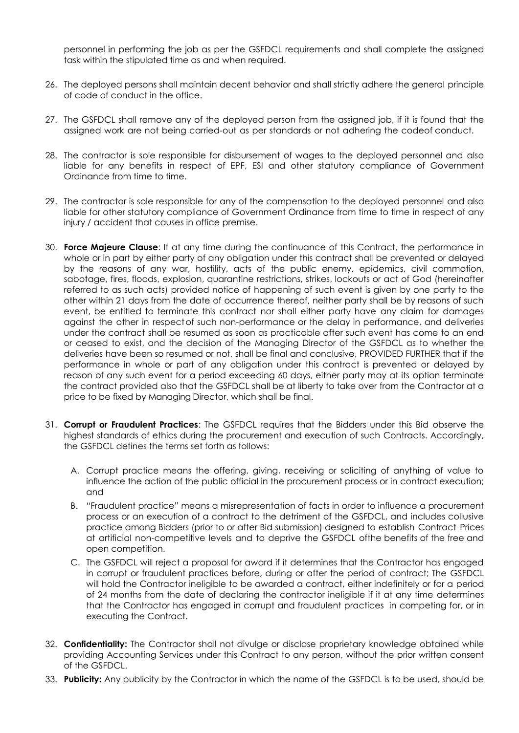personnel in performing the job as per the GSFDCL requirements and shall complete the assigned task within the stipulated time as and when required.

- 26. The deployed persons shall maintain decent behavior and shall strictly adhere the general principle of code of conduct in the office.
- 27. The GSFDCL shall remove any of the deployed person from the assigned job, if it is found that the assigned work are not being carried-out as per standards or not adhering the codeof conduct.
- 28. The contractor is sole responsible for disbursement of wages to the deployed personnel and also liable for any benefits in respect of EPF, ESI and other statutory compliance of Government Ordinance from time to time.
- 29. The contractor is sole responsible for any of the compensation to the deployed personnel and also liable for other statutory compliance of Government Ordinance from time to time in respect of any injury / accident that causes in office premise.
- 30. **Force Majeure Clause**: If at any time during the continuance of this Contract, the performance in whole or in part by either party of any obligation under this contract shall be prevented or delayed by the reasons of any war, hostility, acts of the public enemy, epidemics, civil commotion, sabotage, fires, floods, explosion, quarantine restrictions, strikes, lockouts or act of God (hereinafter referred to as such acts) provided notice of happening of such event is given by one party to the other within 21 days from the date of occurrence thereof, neither party shall be by reasons of such event, be entitled to terminate this contract nor shall either party have any claim for damages against the other in respectof such non-performance or the delay in performance, and deliveries under the contract shall be resumed as soon as practicable after such event has come to an end or ceased to exist, and the decision of the Managing Director of the GSFDCL as to whether the deliveries have been so resumed or not, shall be final and conclusive, PROVIDED FURTHER that if the performance in whole or part of any obligation under this contract is prevented or delayed by reason of any such event for a period exceeding 60 days, either party may at its option terminate the contract provided also that the GSFDCL shall be at liberty to take over from the Contractor at a price to be fixed by Managing Director, which shall be final.
- 31. **Corrupt or Fraudulent Practices**: The GSFDCL requires that the Bidders under this Bid observe the highest standards of ethics during the procurement and execution of such Contracts. Accordingly, the GSFDCL defines the terms set forth as follows:
	- A. Corrupt practice means the offering, giving, receiving or soliciting of anything of value to influence the action of the public official in the procurement process or in contract execution; and
	- B. "Fraudulent practice" means a misrepresentation of facts in order to influence a procurement process or an execution of a contract to the detriment of the GSFDCL, and includes collusive practice among Bidders (prior to or after Bid submission) designed to establish Contract Prices at artificial non-competitive levels and to deprive the GSFDCL ofthe benefits of the free and open competition.
	- C. The GSFDCL will reject a proposal for award if it determines that the Contractor has engaged in corrupt or fraudulent practices before, during or after the period of contract; The GSFDCL will hold the Contractor ineligible to be awarded a contract, either indefinitely or for a period of 24 months from the date of declaring the contractor ineligible if it at any time determines that the Contractor has engaged in corrupt and fraudulent practices in competing for, or in executing the Contract.
- 32. **Confidentiality:** The Contractor shall not divulge or disclose proprietary knowledge obtained while providing Accounting Services under this Contract to any person, without the prior written consent of the GSFDCL.
- 33. **Publicity:** Any publicity by the Contractor in which the name of the GSFDCL is to be used, should be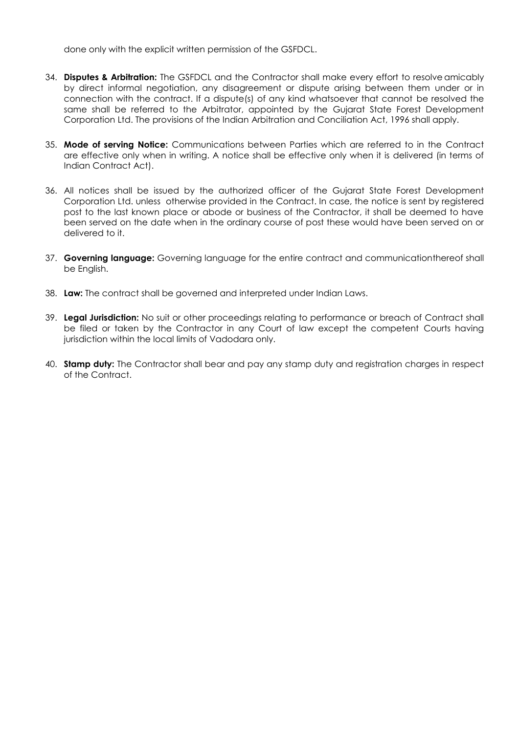done only with the explicit written permission of the GSFDCL.

- 34. **Disputes & Arbitration:** The GSFDCL and the Contractor shall make every effort to resolve amicably by direct informal negotiation, any disagreement or dispute arising between them under or in connection with the contract. If a dispute(s) of any kind whatsoever that cannot be resolved the same shall be referred to the Arbitrator, appointed by the Gujarat State Forest Development Corporation Ltd. The provisions of the Indian Arbitration and Conciliation Act, 1996 shall apply.
- 35. **Mode of serving Notice:** Communications between Parties which are referred to in the Contract are effective only when in writing. A notice shall be effective only when it is delivered (in terms of Indian Contract Act).
- 36. All notices shall be issued by the authorized officer of the Gujarat State Forest Development Corporation Ltd. unless otherwise provided in the Contract. In case, the notice is sent by registered post to the last known place or abode or business of the Contractor, it shall be deemed to have been served on the date when in the ordinary course of post these would have been served on or delivered to it.
- 37. **Governing language:** Governing language for the entire contract and communicationthereof shall be English.
- 38. **Law:** The contract shall be governed and interpreted under Indian Laws.
- 39. **Legal Jurisdiction:** No suit or other proceedings relating to performance or breach of Contract shall be filed or taken by the Contractor in any Court of law except the competent Courts having jurisdiction within the local limits of Vadodara only.
- 40. **Stamp duty:** The Contractor shall bear and pay any stamp duty and registration charges in respect of the Contract.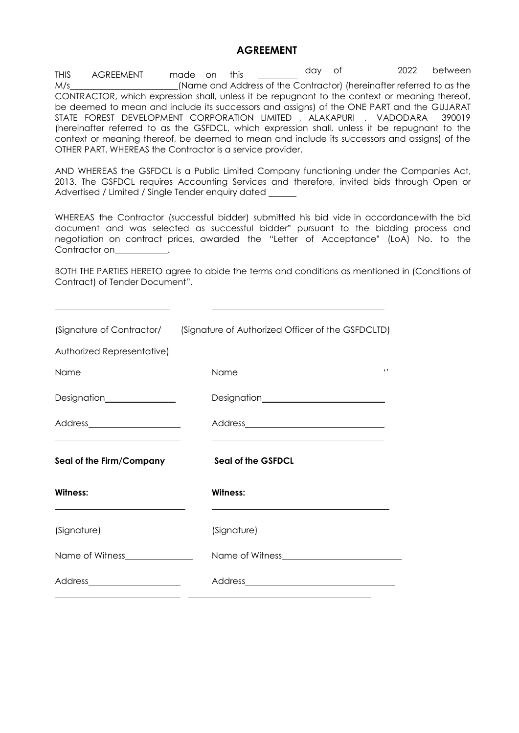### **AGREEMENT**

THIS AGREEMENT made on this \_\_\_\_\_\_\_\_\_ day of \_\_\_\_\_\_\_\_\_2022 between M/s (Name and Address of the Contractor) (hereinafter referred to as the CONTRACTOR, which expression shall, unless it be repugnant to the context or meaning thereof, be deemed to mean and include its successors and assigns) of the ONE PART and the GUJARAT STATE FOREST DEVELOPMENT CORPORATION LIMITED , ALAKAPURI , VADODARA 390019 (hereinafter referred to as the GSFDCL, which expression shall, unless it be repugnant to the context or meaning thereof, be deemed to mean and include its successors and assigns) of the OTHER PART. WHEREAS the Contractor is a service provider.

AND WHEREAS the GSFDCL is a Public Limited Company functioning under the Companies Act, 2013. The GSFDCL requires Accounting Services and therefore, invited bids through Open or Advertised / Limited / Single Tender enquiry dated

WHEREAS the Contractor (successful bidder) submitted his bid vide in accordancewith the bid document and was selected as successful bidder" pursuant to the bidding process and negotiation on contract prices, awarded the "Letter of Acceptance" (LoA) No. to the Contractor on **contracts**.

BOTH THE PARTIES HERETO agree to abide the terms and conditions as mentioned in (Conditions of Contract) of Tender Document".

|                                                                                             | (Signature of Contractor/ (Signature of Authorized Officer of the GSFDCLTD)                                                                                                                                                   |  |  |
|---------------------------------------------------------------------------------------------|-------------------------------------------------------------------------------------------------------------------------------------------------------------------------------------------------------------------------------|--|--|
| Authorized Representative)                                                                  |                                                                                                                                                                                                                               |  |  |
|                                                                                             | $\blacksquare$                                                                                                                                                                                                                |  |  |
| Designation_______________                                                                  |                                                                                                                                                                                                                               |  |  |
| Address_______________________<br><u> 1989 - Andrea Stadt Britain, amerikansk politik (</u> | the control of the control of the control of the control of the control of the control of the control of the control of the control of the control of the control of the control of the control of the control of the control |  |  |
| Seal of the Firm/Company                                                                    | <b>Seal of the GSFDCL</b>                                                                                                                                                                                                     |  |  |
| Witness:                                                                                    | Witness:                                                                                                                                                                                                                      |  |  |
| (Signature)                                                                                 | (Signature)                                                                                                                                                                                                                   |  |  |
| Name of Witness________________                                                             |                                                                                                                                                                                                                               |  |  |
| Address_______________________<br><u> 1989 - Andrea Andrew Maria (b. 1989)</u>              |                                                                                                                                                                                                                               |  |  |